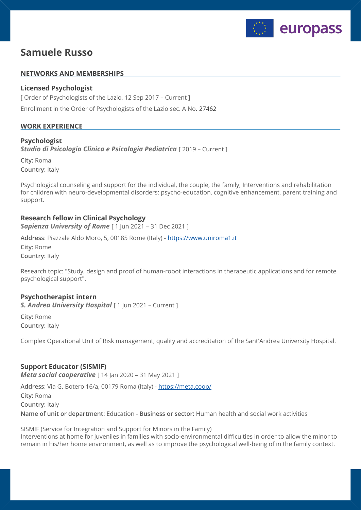

# **Samuele Russo**

#### **NETWORKS AND MEMBERSHIPS**

### **Licensed Psychologist**

[ Order of Psychologists of the Lazio, 12 Sep 2017 – Current ] Enrollment in the Order of Psychologists of the Lazio sec. A No. 27462

## **WORK EXPERIENCE**

#### **Psychologist**

**Studio di Psicologia Clinica e Psicologia Pediatrica** [ 2019 – Current ]

**City:** Roma **Country:** Italy

Psychological counseling and support for the individual, the couple, the family; Interventions and rehabilitation for children with neuro-developmental disorders; psycho-education, cognitive enhancement, parent training and support.

## **Research fellow in Clinical Psychology**

**Sapienza University of Rome** [ 1 Jun 2021 – 31 Dec 2021 ]

**Address**: Piazzale Aldo Moro, 5, 00185 Rome (Italy) - <https://www.uniroma1.it> **City:** Rome **Country:** Italy

Research topic: "Study, design and proof of human-robot interactions in therapeutic applications and for remote psychological support".

## **Psychotherapist intern**

**S. Andrea University Hospital** [1 Jun 2021 – Current ]

**City:** Rome **Country:** Italy

Complex Operational Unit of Risk management, quality and accreditation of the Sant'Andrea University Hospital.

## **Support Educator (SISMIF)**

*Meta social cooperative* [ 14 Jan 2020 – 31 May 2021 ]

**Address**: Via G. Botero 16/a, 00179 Roma (Italy) - <https://meta.coop/> **City:** Roma **Country:** Italy **Name of unit or department:** Education - **Business or sector:** Human health and social work activities

SISMIF (Service for Integration and Support for Minors in the Family) Interventions at home for juveniles in families with socio-environmental difficulties in order to allow the minor to remain in his/her home environment, as well as to improve the psychological well-being of in the family context.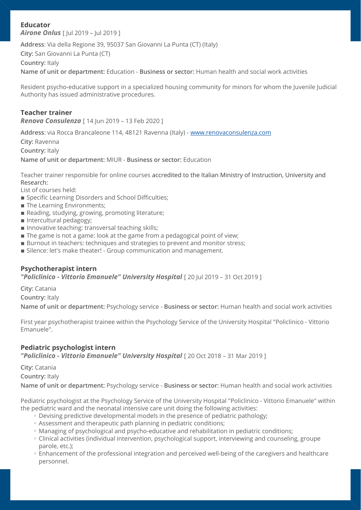## **Educator**

*Airone Onlus* [ Jul 2019 – Jul 2019 ]

**Address**: Via della Regione 39, 95037 San Giovanni La Punta (CT) (Italy)

**City:** San Giovanni La Punta (CT)

**Country:** Italy

**Name of unit or department:** Education - **Business or sector:** Human health and social work activities

Resident psycho-educative support in a specialized housing community for minors for whom the Juvenile Judicial Authority has issued administrative procedures.

## **Teacher trainer**

*Renova Consulenza* [ 14 Jun 2019 – 13 Feb 2020 ]

**Address**: via Rocca Brancaleone 114, 48121 Ravenna (Italy) - [www.renovaconsulenza.com](http://www.renovaconsulenza.com)

**City:** Ravenna

**Country:** Italy

**Name of unit or department:** MIUR - **Business or sector:** Education

Teacher trainer responsible for online courses accredited to the Italian Ministry of Instruction, University and Research:

List of courses held:

- **Exercific Learning Disorders and School Difficulties;**
- **The Learning Environments;**
- Reading, studying, growing, promoting literature;
- **Intercultural pedagogy;**
- Innovative teaching: transversal teaching skills;
- The game is not a game: look at the game from a pedagogical point of view;
- **EXECUTE:** Burnout in teachers: techniques and strategies to prevent and monitor stress;
- **EXALGE: Silence: let's make theater! Group communication and management.**

#### **Psychotherapist intern**

*"Policlinico - Vittorio Emanuele" University Hospital* [ 20 Jul 2019 – 31 Oct 2019 ]

**City:** Catania

**Country:** Italy

**Name of unit or department:** Psychology service - **Business or sector:** Human health and social work activities

First year psychotherapist trainee within the Psychology Service of the University Hospital "Policlinico - Vittorio Emanuele".

## **Pediatric psychologist intern**

**"Policlinico - Vittorio Emanuele" University Hospital** [20 Oct 2018 - 31 Mar 2019 ]

**City:** Catania

**Country:** Italy

**Name of unit or department:** Psychology service - **Business or sector:** Human health and social work activities

Pediatric psychologist at the Psychology Service of the University Hospital "Policlinico - Vittorio Emanuele" within the pediatric ward and the neonatal intensive care unit doing the following activities:

- Devising predictive developmental models in the presence of pediatric pathology;
- Assessment and therapeutic path planning in pediatric conditions; ◦
- Managing of psychological and psycho-educative and rehabilitation in pediatric conditions;
- Clinical activities (individual intervention, psychological support, interviewing and counseling, groupe parole, etc.);
- Enhancement of the professional integration and perceived well-being of the caregivers and healthcare personnel.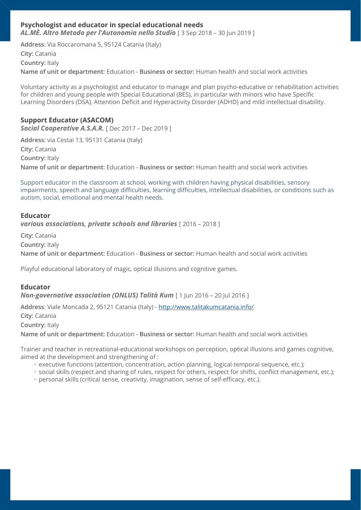## **Psychologist and educator in special educational needs**

*AL.MÈ. Altro Metodo per l'Autonomia nello Studio* [ 3 Sep 2018 – 30 Jun 2019 ]

**Address**: Via Roccaromana 5, 95124 Catania (Italy) **City:** Catania **Country:** Italy **Name of unit or department:** Education - **Business or sector:** Human health and social work activities

Voluntary activity as a psychologist and educator to manage and plan psycho-educative or rehabilitation activities for children and young people with Special Educational (BES), in particular with minors who have Specific Learning Disorders (DSA), Attention Deficit and Hyperactivity Disorder (ADHD) and mild intellectual disability.

## **Support Educator (ASACOM)**

*Social Cooperative A.S.A.R.* [ Dec 2017 – Dec 2019 ]

**Address**: via Cestai 13, 95131 Catania (Italy) **City:** Catania **Country:** Italy **Name of unit or department:** Education - **Business or sector:** Human health and social work activities

Support educator in the classroom at school, working with children having physical disabilities, sensory impairments, speech and language difficulties, learning difficulties, intellectual disabilities, or conditions such as autism, social, emotional and mental health needs.

#### **Educator**

*various associations, private schools and libraries* [ 2016 – 2018 ]

**City:** Catania

**Country:** Italy

**Name of unit or department:** Education - **Business or sector:** Human health and social work activities

Playful educational laboratory of magic, optical illusions and cognitive games.

#### **Educator**

*Non-governative association (ONLUS) Talità Kum* [1 Jun 2016 - 20 Jul 2016 ]

**Address**: Viale Moncada 2, 95121 Catania (Italy) - <http://www.talitakumcatania.info/> **City:** Catania

**Country:** Italy

**Name of unit or department:** Education - **Business or sector:** Human health and social work activities

Trainer and teacher in recreational-educational workshops on perception, optical illusions and games cognitive, aimed at the development and strengthening of :

- executive functions (attention, concentration, action planning, logical-temporal sequence, etc.);
- social skills (respect and sharing of rules, respect for others, respect for shifts, conflict management, etc.);
- personal skills (critical sense, creativity, imagination, sense of self-efficacy, etc.). ◦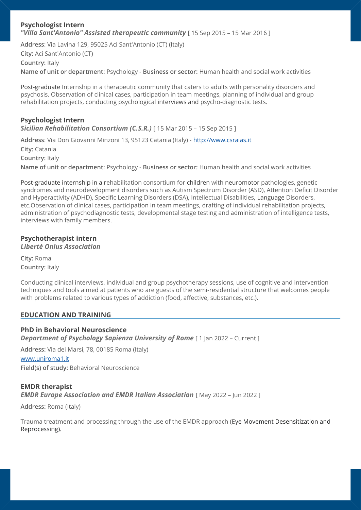#### **Psychologist Intern**  *"Villa Sant'Antonio" Assisted therapeutic community* [ 15 Sep 2015 – 15 Mar 2016 ]

**Address**: Via Lavina 129, 95025 Aci Sant'Antonio (CT) (Italy) **City:** Aci Sant'Antonio (CT) **Country:** Italy **Name of unit or department:** Psychology - **Business or sector:** Human health and social work activities

Post-graduate Internship in a therapeutic community that caters to adults with personality disorders and psychosis. Observation of clinical cases, participation in team meetings, planning of individual and group rehabilitation projects, conducting psychological interviews and psycho-diagnostic tests.

## **Psychologist Intern**

*Sicilian Rehabilitation Consortium (C.S.R.)* [ 15 Mar 2015 – 15 Sep 2015 ]

**Address**: Via Don Giovanni Minzoni 13, 95123 Catania (Italy) - <http://www.csraias.it>

**City:** Catania

**Country:** Italy

**Name of unit or department:** Psychology - **Business or sector:** Human health and social work activities

Post-graduate internship in a rehabilitation consortium for children with neuromotor pathologies, genetic syndromes and neurodevelopment disorders such as Autism Spectrum Disorder (ASD), Attention Deficit Disorder and Hyperactivity (ADHD), Specific Learning Disorders (DSA), Intellectual Disabilities, Language Disorders, etc.Observation of clinical cases, participation in team meetings, drafting of individual rehabilitation projects, administration of psychodiagnostic tests, developmental stage testing and administration of intelligence tests, interviews with family members.

## **Psychotherapist intern**

*Liberté Onlus Association* 

**City:** Roma **Country:** Italy

Conducting clinical interviews, individual and group psychotherapy sessions, use of cognitive and intervention techniques and tools aimed at patients who are guests of the semi-residential structure that welcomes people with problems related to various types of addiction (food, affective, substances, etc.).

## **EDUCATION AND TRAINING**

## **PhD in Behavioral Neuroscience**  *Department of Psychology Sapienza University of Rome* [1 Jan 2022 – Current ]

**Address:** Via dei Marsi, 78, 00185 Roma (Italy) [www.uniroma1.it](http://www.uniroma1.it) **Field(s) of study:** Behavioral Neuroscience

## **EMDR therapist**  *EMDR Europe Association and EMDR Italian Association* [ May 2022 – Jun 2022 ]

**Address:** Roma (Italy)

Trauma treatment and processing through the use of the EMDR approach (Eye Movement Desensitization and Reprocessing).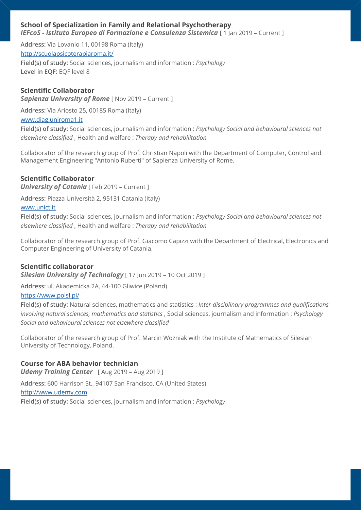## **School of Specialization in Family and Relational Psychotherapy**

*IEFcoS - Istituto Europeo di Formazione e Consulenza Sistemica* [ 1 Jan 2019 – Current ]

**Address:** Via Lovanio 11, 00198 Roma (Italy) <http://scuolapsicoterapiaroma.it/> **Field(s) of study:** Social sciences, journalism and information : *Psychology*  **Level in EQF:** EQF level 8

#### **Scientific Collaborator**

**Sapienza University of Rome** [ Nov 2019 – Current ]

**Address:** Via Ariosto 25, 00185 Roma (Italy) [www.diag.uniroma1.it](http://www.diag.uniroma1.it)

**Field(s) of study:** Social sciences, journalism and information : *Psychology Social and behavioural sciences not elsewhere classified* , Health and welfare : *Therapy and rehabilitation* 

Collaborator of the research group of Prof. Christian Napoli with the Department of Computer, Control and Management Engineering "Antonio Ruberti" of Sapienza University of Rome.

#### **Scientific Collaborator**

*University of Catania* [ Feb 2019 – Current ]

**Address:** Piazza Università 2, 95131 Catania (Italy)

#### [www.unict.it](http://www.unict.it)

**Field(s) of study:** Social sciences, journalism and information : *Psychology Social and behavioural sciences not elsewhere classified* , Health and welfare : *Therapy and rehabilitation* 

Collaborator of the research group of Prof. Giacomo Capizzi with the Department of Electrical, Electronics and Computer Engineering of University of Catania.

#### **Scientific collaborator**

*Silesian University of Technology* [ 17 Jun 2019 – 10 Oct 2019 ]

**Address:** ul. Akademicka 2A, 44-100 Gliwice (Poland)

#### <https://www.polsl.pl/>

**Field(s) of study:** Natural sciences, mathematics and statistics : *Inter-disciplinary programmes and qualifications involving natural sciences, mathematics and statistics* , Social sciences, journalism and information : *Psychology Social and behavioural sciences not elsewhere classified* 

Collaborator of the research group of Prof. Marcin Wozniak with the Institute of Mathematics of Silesian University of Technology, Poland.

#### **Course for ABA behavior technician**

*Udemy Training Center* [ Aug 2019 – Aug 2019 ]

**Address:** 600 Harrison St., 94107 San Francisco, CA (United States)

<http://www.udemy.com>

**Field(s) of study:** Social sciences, journalism and information : *Psychology*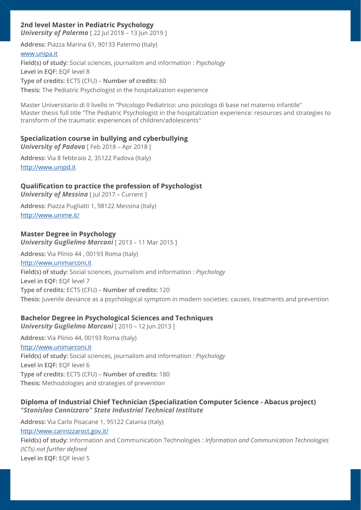## **2nd level Master in Pediatric Psychology**

*University of Palermo* [22 Jul 2018 – 13 Jun 2019 ]

**Address:** Piazza Marina 61, 90133 Palermo (Italy) [www.unipa.it](http://www.unipa.it) **Field(s) of study:** Social sciences, journalism and information : *Psychology*  **Level in EQF:** EQF level 8 **Type of credits:** ECTS (CFU) – **Number of credits:** 60 **Thesis:** The Pediatric Psychologist in the hospitalization experience

Master Universitario di II livello in "Psicologo Pediatrico: uno psicologo di base nel materno infantile" Master thesis full title "The Pediatric Psychologist in the hospitalization experience: resources and strategies to transform of the traumatic experiences of children/adolescents"

#### **Specialization course in bullying and cyberbullying**

**University of Padova** [ Feb 2018 - Apr 2018 ]

**Address:** Via 8 febbraio 2, 35122 Padova (Italy) <http://www.unipd.it>

## **Qualification to practice the profession of Psychologist**

**University of Messina** [ Jul 2017 - Current ]

**Address:** Piazza Pugliatti 1, 98122 Messina (Italy) <http://www.unime.it/>

#### **Master Degree in Psychology**

*University Guglielmo Marconi* [ 2013 – 11 Mar 2015 ]

**Address:** Via Plinio 44 , 00193 Roma (Italy) <http://www.unimarconi.it> **Field(s) of study:** Social sciences, journalism and information : *Psychology*  **Level in EQF:** EQF level 7 **Type of credits:** ECTS (CFU) – **Number of credits:** 120 **Thesis:** Juvenile deviance as a psychological symptom in modern societies: causes, treatments and prevention

## **Bachelor Degree in Psychological Sciences and Techniques**

*University Guglielmo Marconi* [ 2010 – 12 Jun 2013 ] **Address:** Via Plinio 44, 00193 Roma (Italy) <http://www.unimarconi.it> **Field(s) of study:** Social sciences, journalism and information : *Psychology*  **Level in EQF:** EQF level 6 **Type of credits:** ECTS (CFU) – **Number of credits:** 180 **Thesis:** Methodologies and strategies of prevention

## **Diploma of Industrial Chief Technician (Specialization Computer Science - Abacus project)**  *"Stanislao Cannizzaro" State Industrial Technical Institute*

**Address:** Via Carlo Pisacane 1, 95122 Catania (Italy) <http://www.cannizzaroct.gov.it/> **Field(s) of study:** Information and Communication Technologies : *Information and Communication Technologies (ICTs) not further defined*  **Level in EQF:** EQF level 5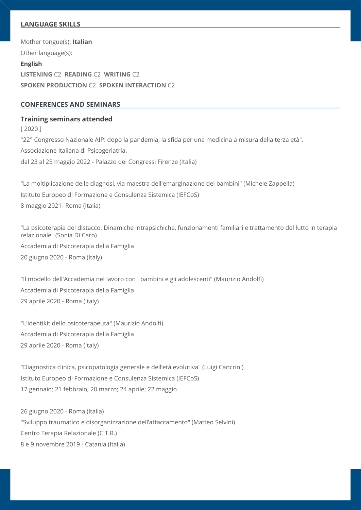## **LANGUAGE SKILLS**

**English LISTENING** C2 **READING** C2 **WRITING** C2 **SPOKEN PRODUCTION** C2 **SPOKEN INTERACTION** C2 Mother tongue(s): **Italian** Other language(s):

#### **CONFERENCES AND SEMINARS**

#### **Training seminars attended**

[ 2020 ] "22° Congresso Nazionale AIP: dopo la pandemia, la sfida per una medicina a misura della terza età". Associazione Italiana di Psicogeriatria. dal 23 al 25 maggio 2022 - Palazzo dei Congressi Firenze (Italia)

"La moltiplicazione delle diagnosi, via maestra dell'emarginazione dei bambini" (Michele Zappella) Istituto Europeo di Formazione e Consulenza Sistemica (IEFCoS) 8 maggio 2021- Roma (Italia)

"La psicoterapia del distacco. Dinamiche intrapsichiche, funzionamenti familiari e trattamento del lutto in terapia relazionale" (Sonia Di Caro) Accademia di Psicoterapia della Famiglia 20 giugno 2020 - Roma (Italy)

"Il modello dell'Accademia nel lavoro con i bambini e gli adolescenti" (Maurizio Andolfi) Accademia di Psicoterapia della Famiglia 29 aprile 2020 - Roma (Italy)

"L'identikit dello psicoterapeuta" (Maurizio Andolfi) Accademia di Psicoterapia della Famiglia 29 aprile 2020 - Roma (Italy)

"Diagnostica clinica, psicopatologia generale e dell'età evolutiva" (Luigi Cancrini) Istituto Europeo di Formazione e Consulenza Sistemica (IEFCoS) 17 gennaio; 21 febbraio; 20 marzo; 24 aprile; 22 maggio

26 giugno 2020 - Roma (Italia) "Sviluppo traumatico e disorganizzazione dell'attaccamento" (Matteo Selvini) Centro Terapia Relazionale (C.T.R.) 8 e 9 novembre 2019 - Catania (Italia)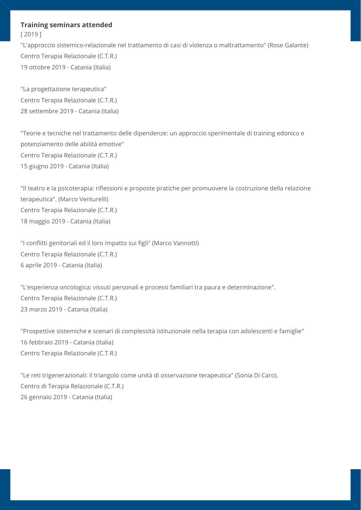#### **Training seminars attended**

[ 2019 ]

"L'approccio sistemico-relazionale nel trattamento di casi di violenza o maltrattamento" (Rose Galante) Centro Terapia Relazionale (C.T.R.) 19 ottobre 2019 - Catania (Italia)

"La progettazione terapeutica" Centro Terapia Relazionale (C.T.R.) 28 settembre 2019 - Catania (Italia)

"Teorie e tecniche nel trattamento delle dipendenze: un approccio sperimentale di training edonico e potenziamento delle abilità emotive" Centro Terapia Relazionale (C.T.R.) 15 giugno 2019 - Catania (Italia)

"Il teatro e la psicoterapia: riflessioni e proposte pratiche per promuovere la costruzione della relazione terapeutica". (Marco Venturelli) Centro Terapia Relazionale (C.T.R.) 18 maggio 2019 - Catania (Italia)

"I conflitti genitoriali ed il loro impatto sui figli" (Marco Vannotti) Centro Terapia Relazionale (C.T.R.) 6 aprile 2019 - Catania (Italia)

"L'esperienza oncologica: vissuti personali e processi familiari tra paura e determinazione". Centro Terapia Relazionale (C.T.R.) 23 marzo 2019 - Catania (Italia)

"Prospettive sistemiche e scenari di complessità istituzionale nella terapia con adolescenti e famiglie" 16 febbraio 2019 - Catania (Italia) Centro Terapia Relazionale (C.T.R.)

"Le reti trigenerazionali: il triangolo come unità di osservazione terapeutica" (Sonia Di Caro). Centro di Terapia Relazionale (C.T.R.) 26 gennaio 2019 - Catania (Italia)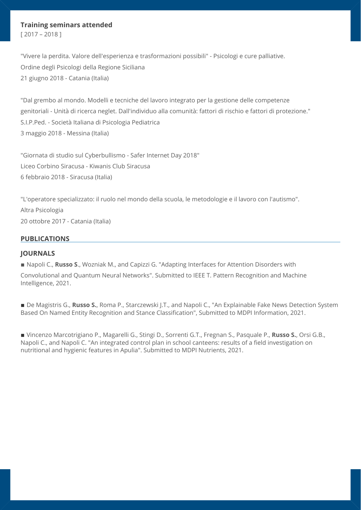#### **Training seminars attended**

[ 2017 – 2018 ]

"Vivere la perdita. Valore dell'esperienza e trasformazioni possibili" - Psicologi e cure palliative. Ordine degli Psicologi della Regione Siciliana 21 giugno 2018 - Catania (Italia)

"Dal grembo al mondo. Modelli e tecniche del lavoro integrato per la gestione delle competenze genitoriali - Unità di ricerca neglet. Dall'individuo alla comunità: fattori di rischio e fattori di protezione." S.I.P.Ped. - Società Italiana di Psicologia Pediatrica 3 maggio 2018 - Messina (Italia)

"Giornata di studio sul Cyberbullismo - Safer Internet Day 2018" Liceo Corbino Siracusa - Kiwanis Club Siracusa 6 febbraio 2018 - Siracusa (Italia)

"L'operatore specializzato: il ruolo nel mondo della scuola, le metodologie e il lavoro con l'autismo". Altra Psicologia 20 ottobre 2017 - Catania (Italia)

#### **PUBLICATIONS**

#### **JOURNALS**

■ Napoli C., **Russo S.**, Wozniak M., and Capizzi G. "Adapting Interfaces for Attention Disorders with

Convolutional and Quantum Neural Networks". Submitted to IEEE T. Pattern Recognition and Machine Intelligence, 2021.

■ De Magistris G., **Russo S.**, Roma P., Starczewski J.T., and Napoli C., "An Explainable Fake News Detection System Based On Named Entity Recognition and Stance Classification", Submitted to MDPI Information, 2021.

▪ Vincenzo Marcotrigiano P., Magarelli G., Stingi D., Sorrenti G.T., Fregnan S., Pasquale P., **Russo S.**, Orsi G.B., Napoli C., and Napoli C. "An integrated control plan in school canteens: results of a field investigation on nutritional and hygienic features in Apulia". Submitted to MDPI Nutrients, 2021.